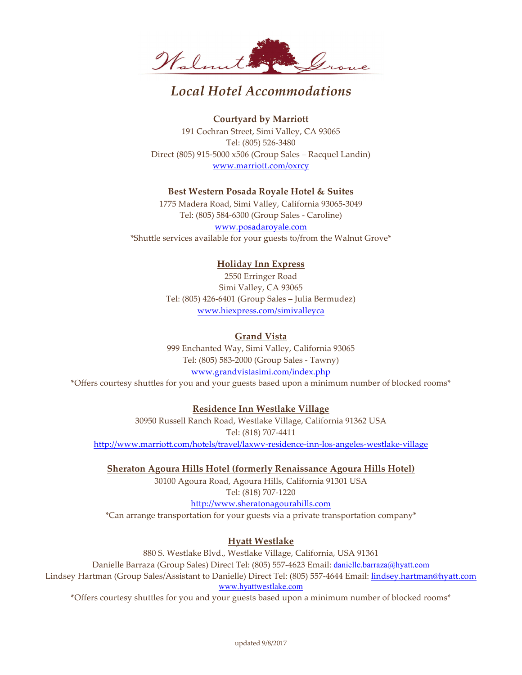

# *Local Hotel Accommodations*

### **Courtyard by Marriott**

191 Cochran Street, Simi Valley, CA 93065 Tel: (805) 526-3480 Direct (805) 915-5000 x506 (Group Sales – Racquel Landin) www.marriott.com/oxrcy

### **Best Western Posada Royale Hotel & Suites**

1775 Madera Road, Simi Valley, California 93065-3049 Tel: (805) 584-6300 (Group Sales - Caroline) www.posadaroyale.com \*Shuttle services available for your guests to/from the Walnut Grove\*

# **Holiday Inn Express**

2550 Erringer Road Simi Valley, CA 93065 Tel: (805) 426-6401 (Group Sales – Julia Bermudez) www.hiexpress.com/simivalleyca

## **Grand Vista**

999 Enchanted Way, Simi Valley, California 93065 Tel: (805) 583-2000 (Group Sales - Tawny) www.grandvistasimi.com/index.php \*Offers courtesy shuttles for you and your guests based upon a minimum number of blocked rooms\*

# **Residence Inn Westlake Village**

30950 Russell Ranch Road, Westlake Village, California 91362 USA Tel: (818) 707-4411 http://www.marriott.com/hotels/travel/laxwv-residence-inn-los-angeles-westlake-village

**Sheraton Agoura Hills Hotel (formerly Renaissance Agoura Hills Hotel)**

30100 Agoura Road, Agoura Hills, California 91301 USA Tel: (818) 707-1220

### http://www.sheratonagourahills.com

\*Can arrange transportation for your guests via a private transportation company\*

# **Hyatt Westlake**

880 S. Westlake Blvd., Westlake Village, California, USA 91361 Danielle Barraza (Group Sales) Direct Tel: (805) 557-4623 Email: danielle.barraza@hyatt.com Lindsey Hartman (Group Sales/Assistant to Danielle) Direct Tel: (805) 557-4644 Email: lindsey.hartman@hyatt.com www.hyattwestlake.com

\*Offers courtesy shuttles for you and your guests based upon a minimum number of blocked rooms\*